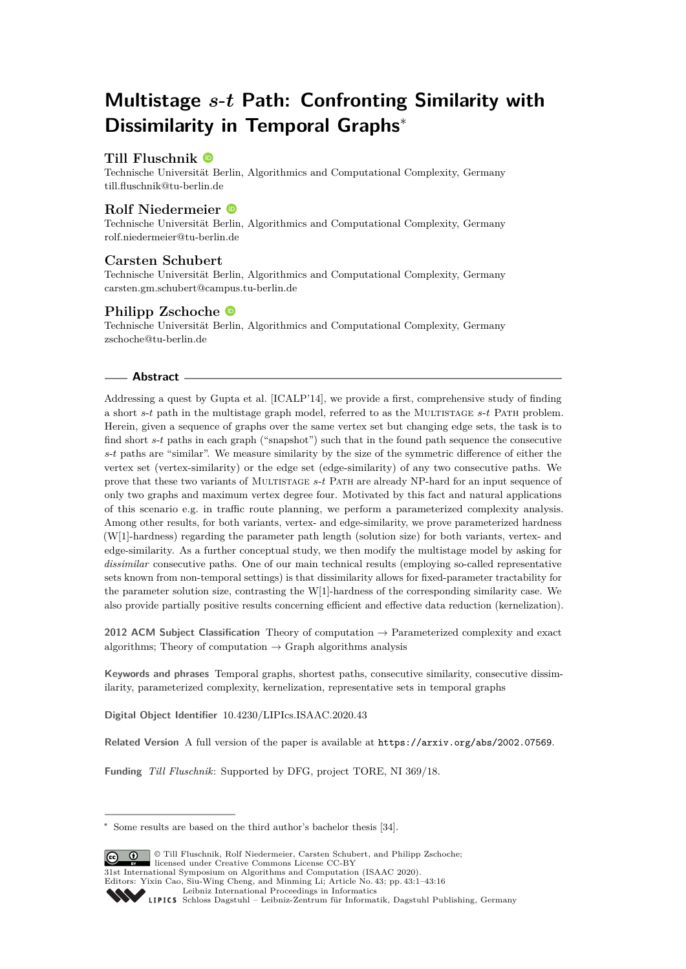# **Multistage** *s***-***t* **Path: Confronting Similarity with Dissimilarity in Temporal Graphs**<sup>∗</sup>

## **Till Fluschnik**

Technische Universität Berlin, Algorithmics and Computational Complexity, Germany [till.fluschnik@tu-berlin.de](mailto:till.fluschnik@tu-berlin.de)

## **Rolf Niedermeier**

Technische Universität Berlin, Algorithmics and Computational Complexity, Germany [rolf.niedermeier@tu-berlin.de](mailto:rolf.niedermeier@tu-berlin.de)

#### **Carsten Schubert**

Technische Universität Berlin, Algorithmics and Computational Complexity, Germany [carsten.gm.schubert@campus.tu-berlin.de](mailto:carsten.gm.schubert@campus.tu-berlin.de)

## **Philipp Zschoche**

Technische Universität Berlin, Algorithmics and Computational Complexity, Germany [zschoche@tu-berlin.de](mailto:zschoche@tu-berlin.de)

#### **Abstract**

Addressing a quest by Gupta et al. [ICALP'14], we provide a first, comprehensive study of finding a short *s*-*t* path in the multistage graph model, referred to as the Multistage *s*-*t* Path problem. Herein, given a sequence of graphs over the same vertex set but changing edge sets, the task is to find short *s*-*t* paths in each graph ("snapshot") such that in the found path sequence the consecutive *s*-*t* paths are "similar". We measure similarity by the size of the symmetric difference of either the vertex set (vertex-similarity) or the edge set (edge-similarity) of any two consecutive paths. We prove that these two variants of Multistage *s*-*t* Path are already NP-hard for an input sequence of only two graphs and maximum vertex degree four. Motivated by this fact and natural applications of this scenario e.g. in traffic route planning, we perform a parameterized complexity analysis. Among other results, for both variants, vertex- and edge-similarity, we prove parameterized hardness (W[1]-hardness) regarding the parameter path length (solution size) for both variants, vertex- and edge-similarity. As a further conceptual study, we then modify the multistage model by asking for *dissimilar* consecutive paths. One of our main technical results (employing so-called representative sets known from non-temporal settings) is that dissimilarity allows for fixed-parameter tractability for the parameter solution size, contrasting the W[1]-hardness of the corresponding similarity case. We also provide partially positive results concerning efficient and effective data reduction (kernelization).

**2012 ACM Subject Classification** Theory of computation → Parameterized complexity and exact algorithms; Theory of computation  $\rightarrow$  Graph algorithms analysis

**Keywords and phrases** Temporal graphs, shortest paths, consecutive similarity, consecutive dissimilarity, parameterized complexity, kernelization, representative sets in temporal graphs

**Digital Object Identifier** [10.4230/LIPIcs.ISAAC.2020.43](https://doi.org/10.4230/LIPIcs.ISAAC.2020.43)

**Related Version** A full version of the paper is available at <https://arxiv.org/abs/2002.07569>.

**Funding** *Till Fluschnik*: Supported by DFG, project TORE, NI 369/18.

<sup>∗</sup> Some results are based on the third author's bachelor thesis [\[34\]](#page-15-0).



© Till Fluschnik, Rolf Niedermeier, Carsten Schubert, and Philipp Zschoche; licensed under Creative Commons License CC-BY 31st International Symposium on Algorithms and Computation (ISAAC 2020).

Editors: Yixin Cao, Siu-Wing Cheng, and Minming Li; Article No. 43; pp. 43:1–43[:16](#page-15-1)

[Leibniz International Proceedings in Informatics](https://www.dagstuhl.de/lipics/)

[Schloss Dagstuhl – Leibniz-Zentrum für Informatik, Dagstuhl Publishing, Germany](https://www.dagstuhl.de)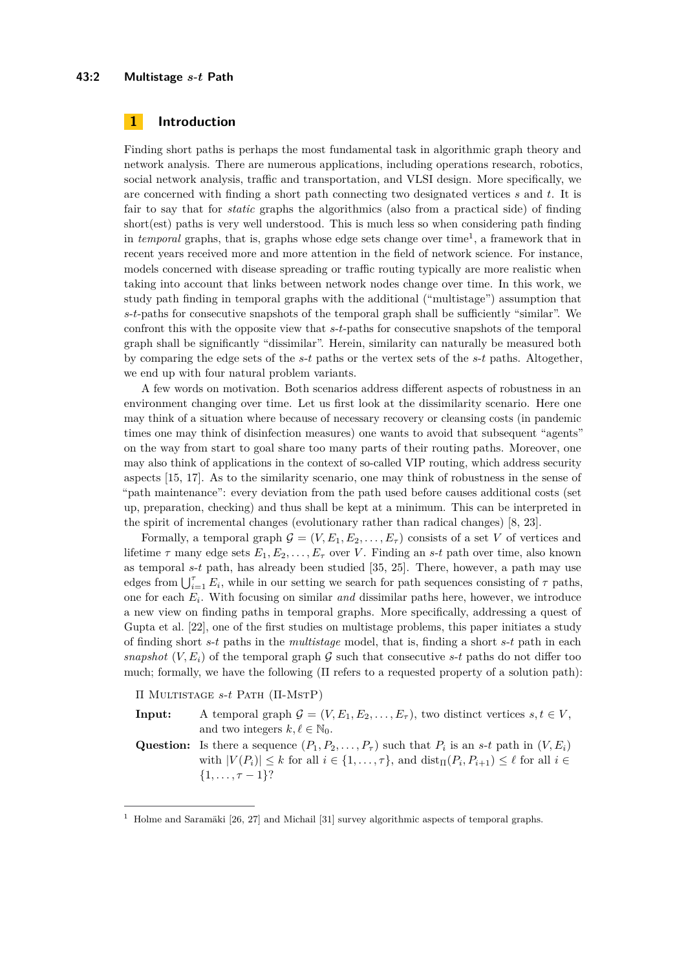#### **43:2 Multistage** *s***-***t* **Path**

## **1 Introduction**

Finding short paths is perhaps the most fundamental task in algorithmic graph theory and network analysis. There are numerous applications, including operations research, robotics, social network analysis, traffic and transportation, and VLSI design. More specifically, we are concerned with finding a short path connecting two designated vertices *s* and *t*. It is fair to say that for *static* graphs the algorithmics (also from a practical side) of finding short(est) paths is very well understood. This is much less so when considering path finding in *temporal* graphs, that is, graphs whose edge sets change over time<sup>[1](#page-1-0)</sup>, a framework that in recent years received more and more attention in the field of network science. For instance, models concerned with disease spreading or traffic routing typically are more realistic when taking into account that links between network nodes change over time. In this work, we study path finding in temporal graphs with the additional ("multistage") assumption that *s*-*t*-paths for consecutive snapshots of the temporal graph shall be sufficiently "similar". We confront this with the opposite view that *s*-*t*-paths for consecutive snapshots of the temporal graph shall be significantly "dissimilar". Herein, similarity can naturally be measured both by comparing the edge sets of the *s*-*t* paths or the vertex sets of the *s*-*t* paths. Altogether, we end up with four natural problem variants.

A few words on motivation. Both scenarios address different aspects of robustness in an environment changing over time. Let us first look at the dissimilarity scenario. Here one may think of a situation where because of necessary recovery or cleansing costs (in pandemic times one may think of disinfection measures) one wants to avoid that subsequent "agents" on the way from start to goal share too many parts of their routing paths. Moreover, one may also think of applications in the context of so-called VIP routing, which address security aspects [\[15,](#page-14-0) [17\]](#page-14-1). As to the similarity scenario, one may think of robustness in the sense of "path maintenance": every deviation from the path used before causes additional costs (set up, preparation, checking) and thus shall be kept at a minimum. This can be interpreted in the spirit of incremental changes (evolutionary rather than radical changes) [\[8,](#page-13-0) [23\]](#page-14-2).

Formally, a temporal graph  $\mathcal{G} = (V, E_1, E_2, \ldots, E_\tau)$  consists of a set V of vertices and lifetime  $\tau$  many edge sets  $E_1, E_2, \ldots, E_{\tau}$  over *V*. Finding an *s*-*t* path over time, also known as temporal *s*-*t* path, has already been studied [\[35,](#page-15-2) [25\]](#page-14-3). There, however, a path may use edges from  $\bigcup_{i=1}^{\tau} E_i$ , while in our setting we search for path sequences consisting of  $\tau$  paths, one for each *E<sup>i</sup>* . With focusing on similar *and* dissimilar paths here, however, we introduce a new view on finding paths in temporal graphs. More specifically, addressing a quest of Gupta et al. [\[22\]](#page-14-4), one of the first studies on multistage problems, this paper initiates a study of finding short *s*-*t* paths in the *multistage* model, that is, finding a short *s*-*t* path in each *snapshot*  $(V, E_i)$  of the temporal graph  $\mathcal G$  such that consecutive *s*-*t* paths do not differ too much; formally, we have the following  $(\Pi$  refers to a requested property of a solution path):

Π Multistage *s*-*t* Path (Π-MstP)

**Input:** A temporal graph  $\mathcal{G} = (V, E_1, E_2, \dots, E_{\tau})$ , two distinct vertices  $s, t \in V$ , and two integers  $k, \ell \in \mathbb{N}_0$ . **Question:** Is there a sequence  $(P_1, P_2, \ldots, P_\tau)$  such that  $P_i$  is an *s*-*t* path in  $(V, E_i)$ 

with  $|V(P_i)| \leq k$  for all  $i \in \{1, \ldots, \tau\}$ , and  $\text{dist}_{\Pi}(P_i, P_{i+1}) \leq \ell$  for all  $i \in$  $\{1, \ldots, \tau-1\}$ ?

<span id="page-1-0"></span><sup>&</sup>lt;sup>1</sup> Holme and Saramäki [\[26,](#page-14-5) [27\]](#page-14-6) and Michail [\[31\]](#page-14-7) survey algorithmic aspects of temporal graphs.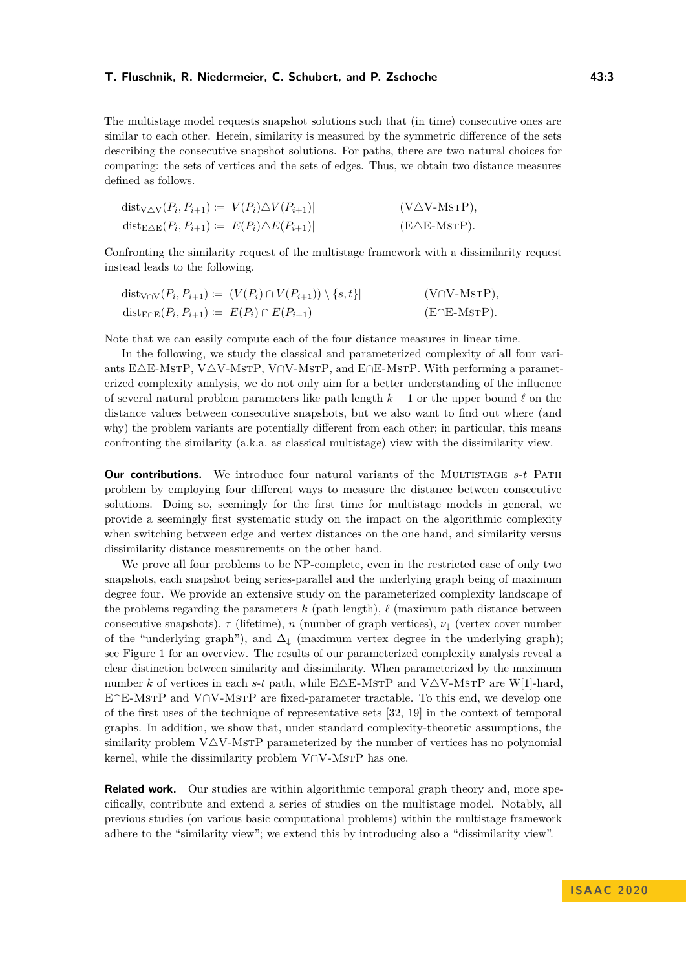The multistage model requests snapshot solutions such that (in time) consecutive ones are similar to each other. Herein, similarity is measured by the symmetric difference of the sets describing the consecutive snapshot solutions. For paths, there are two natural choices for comparing: the sets of vertices and the sets of edges. Thus, we obtain two distance measures defined as follows.

| $dist_{V\Delta V}(P_i, P_{i+1}) \coloneqq  V(P_i)\Delta V(P_{i+1}) $       | $(V\triangle V\text{-MsrP}),$ |
|----------------------------------------------------------------------------|-------------------------------|
| $dist_{E\triangle E}(P_i, P_{i+1}) \coloneqq  E(P_i)\triangle E(P_{i+1}) $ | $(E\triangle E\text{-MSTP}).$ |

Confronting the similarity request of the multistage framework with a dissimilarity request instead leads to the following.

| $dist_{V \cap V}(P_i, P_{i+1}) \coloneqq  (V(P_i) \cap V(P_{i+1})) \setminus \{s, t\} $ | $(V \cap V\text{-}\mathrm{MSTP}),$ |
|-----------------------------------------------------------------------------------------|------------------------------------|
| $dist_{E \cap E}(P_i, P_{i+1}) \coloneqq  E(P_i) \cap E(P_{i+1}) $                      | $(E \cap E\text{-}MSTP).$          |

Note that we can easily compute each of the four distance measures in linear time.

In the following, we study the classical and parameterized complexity of all four variants E $\triangle$ E-MstP, V $\triangle$ V-MstP, V∩V-MstP, and E∩E-MstP. With performing a parameterized complexity analysis, we do not only aim for a better understanding of the influence of several natural problem parameters like path length  $k - 1$  or the upper bound  $\ell$  on the distance values between consecutive snapshots, but we also want to find out where (and why) the problem variants are potentially different from each other; in particular, this means confronting the similarity (a.k.a. as classical multistage) view with the dissimilarity view.

**Our contributions.** We introduce four natural variants of the MULTISTAGE *s*-*t* PATH problem by employing four different ways to measure the distance between consecutive solutions. Doing so, seemingly for the first time for multistage models in general, we provide a seemingly first systematic study on the impact on the algorithmic complexity when switching between edge and vertex distances on the one hand, and similarity versus dissimilarity distance measurements on the other hand.

We prove all four problems to be NP-complete, even in the restricted case of only two snapshots, each snapshot being series-parallel and the underlying graph being of maximum degree four. We provide an extensive study on the parameterized complexity landscape of the problems regarding the parameters  $k$  (path length),  $\ell$  (maximum path distance between consecutive snapshots), *τ* (lifetime), *n* (number of graph vertices), *ν*<sup>↓</sup> (vertex cover number of the "underlying graph"), and  $\Delta_{\downarrow}$  (maximum vertex degree in the underlying graph); see Figure [1](#page-3-0) for an overview. The results of our parameterized complexity analysis reveal a clear distinction between similarity and dissimilarity. When parameterized by the maximum number *k* of vertices in each *s*-*t* path, while E $\triangle$ E-MsTP and V $\triangle$ V-MsTP are W[1]-hard, E∩E-MstP and V∩V-MstP are fixed-parameter tractable. To this end, we develop one of the first uses of the technique of representative sets [\[32,](#page-14-8) [19\]](#page-14-9) in the context of temporal graphs. In addition, we show that, under standard complexity-theoretic assumptions, the similarity problem  $V\Delta V$ -MsTP parameterized by the number of vertices has no polynomial kernel, while the dissimilarity problem  $V∩V-MSTP$  has one.

**Related work.** Our studies are within algorithmic temporal graph theory and, more specifically, contribute and extend a series of studies on the multistage model. Notably, all previous studies (on various basic computational problems) within the multistage framework adhere to the "similarity view"; we extend this by introducing also a "dissimilarity view".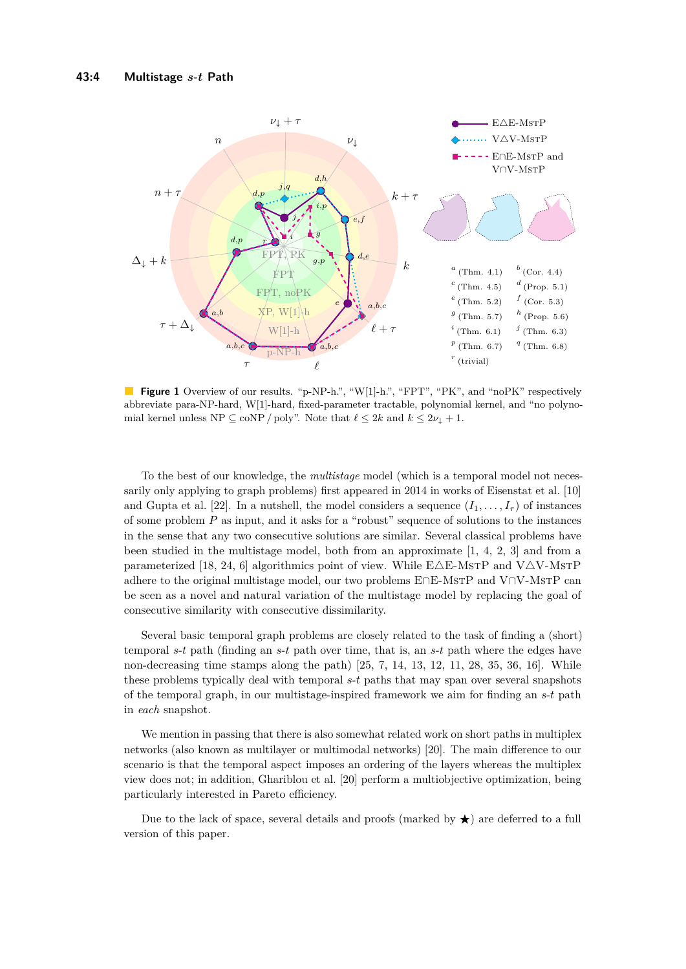<span id="page-3-0"></span>

**Figure 1** Overview of our results. "p-NP-h.", "W[1]-h.", "FPT", "PK", and "noPK" respectively abbreviate para-NP-hard, W[1]-hard, fixed-parameter tractable, polynomial kernel, and "no polynomial kernel unless NP  $\subseteq$  coNP / poly". Note that  $\ell \leq 2k$  and  $k \leq 2\nu_{\downarrow} + 1$ .

To the best of our knowledge, the *multistage* model (which is a temporal model not necessarily only applying to graph problems) first appeared in 2014 in works of Eisenstat et al. [\[10\]](#page-13-1) and Gupta et al. [\[22\]](#page-14-4). In a nutshell, the model considers a sequence  $(I_1, \ldots, I_\tau)$  of instances of some problem *P* as input, and it asks for a "robust" sequence of solutions to the instances in the sense that any two consecutive solutions are similar. Several classical problems have been studied in the multistage model, both from an approximate [\[1,](#page-13-2) [4,](#page-13-3) [2,](#page-13-4) [3\]](#page-13-5) and from a parameterized [\[18,](#page-14-10) [24,](#page-14-11) [6\]](#page-13-6) algorithmics point of view. While  $E\triangle E\text{-MSTP}$  and  $V\triangle V\text{-MSTP}$ adhere to the original multistage model, our two problems E∩E-MstP and V∩V-MstP can be seen as a novel and natural variation of the multistage model by replacing the goal of consecutive similarity with consecutive dissimilarity.

Several basic temporal graph problems are closely related to the task of finding a (short) temporal *s*-*t* path (finding an *s*-*t* path over time, that is, an *s*-*t* path where the edges have non-decreasing time stamps along the path)  $[25, 7, 14, 13, 12, 11, 28, 35, 36, 16]$  $[25, 7, 14, 13, 12, 11, 28, 35, 36, 16]$  $[25, 7, 14, 13, 12, 11, 28, 35, 36, 16]$  $[25, 7, 14, 13, 12, 11, 28, 35, 36, 16]$  $[25, 7, 14, 13, 12, 11, 28, 35, 36, 16]$  $[25, 7, 14, 13, 12, 11, 28, 35, 36, 16]$  $[25, 7, 14, 13, 12, 11, 28, 35, 36, 16]$  $[25, 7, 14, 13, 12, 11, 28, 35, 36, 16]$  $[25, 7, 14, 13, 12, 11, 28, 35, 36, 16]$  $[25, 7, 14, 13, 12, 11, 28, 35, 36, 16]$  $[25, 7, 14, 13, 12, 11, 28, 35, 36, 16]$  $[25, 7, 14, 13, 12, 11, 28, 35, 36, 16]$  $[25, 7, 14, 13, 12, 11, 28, 35, 36, 16]$  $[25, 7, 14, 13, 12, 11, 28, 35, 36, 16]$  $[25, 7, 14, 13, 12, 11, 28, 35, 36, 16]$  $[25, 7, 14, 13, 12, 11, 28, 35, 36, 16]$  $[25, 7, 14, 13, 12, 11, 28, 35, 36, 16]$  $[25, 7, 14, 13, 12, 11, 28, 35, 36, 16]$  $[25, 7, 14, 13, 12, 11, 28, 35, 36, 16]$ . While these problems typically deal with temporal *s*-*t* paths that may span over several snapshots of the temporal graph, in our multistage-inspired framework we aim for finding an *s*-*t* path in *each* snapshot.

We mention in passing that there is also somewhat related work on short paths in multiplex networks (also known as multilayer or multimodal networks) [\[20\]](#page-14-17). The main difference to our scenario is that the temporal aspect imposes an ordering of the layers whereas the multiplex view does not; in addition, Ghariblou et al. [\[20\]](#page-14-17) perform a multiobjective optimization, being particularly interested in Pareto efficiency.

Due to the lack of space, several details and proofs (marked by  $\star$ ) are deferred to a full version of this paper.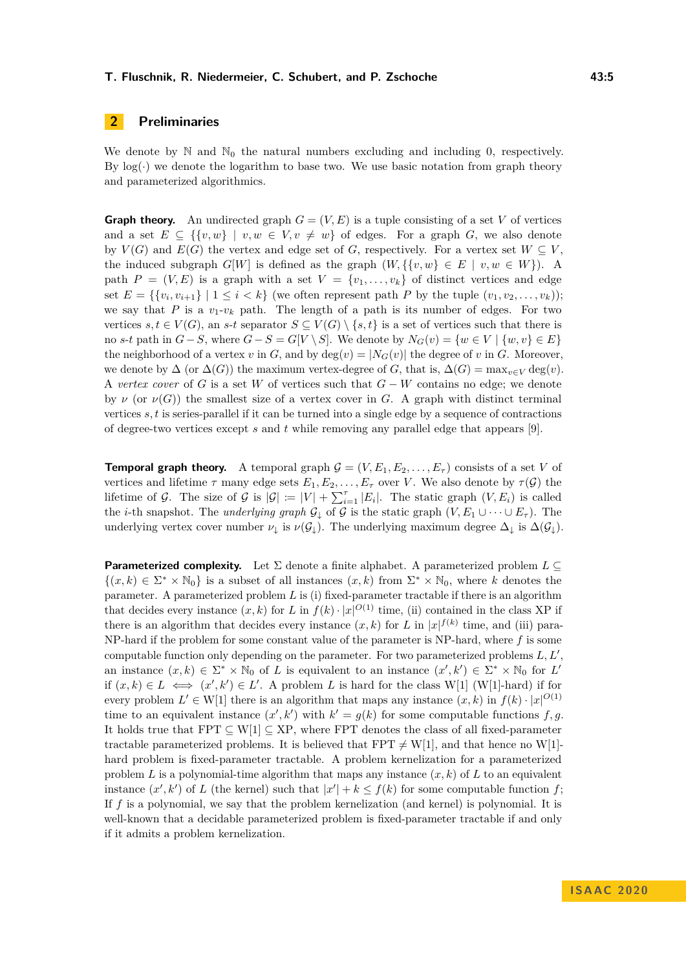# **2 Preliminaries**

We denote by  $\mathbb N$  and  $\mathbb N_0$  the natural numbers excluding and including 0, respectively. By  $\log(\cdot)$  we denote the logarithm to base two. We use basic notation from graph theory and parameterized algorithmics.

**Graph theory.** An undirected graph  $G = (V, E)$  is a tuple consisting of a set V of vertices and a set  $E \subseteq \{ \{v, w\} \mid v, w \in V, v \neq w \}$  of edges. For a graph *G*, we also denote by  $V(G)$  and  $E(G)$  the vertex and edge set of *G*, respectively. For a vertex set  $W \subseteq V$ , the induced subgraph  $G[W]$  is defined as the graph  $(W, \{ \{v, w\} \in E \mid v, w \in W \})$ . A path  $P = (V, E)$  is a graph with a set  $V = \{v_1, \ldots, v_k\}$  of distinct vertices and edge set  $E = \{\{v_i, v_{i+1}\} \mid 1 \leq i \leq k\}$  (we often represent path P by the tuple  $(v_1, v_2, \ldots, v_k)$ ); we say that *P* is a  $v_1$ - $v_k$  path. The length of a path is its number of edges. For two vertices  $s, t \in V(G)$ , an  $s$ -*t* separator  $S \subseteq V(G) \setminus \{s, t\}$  is a set of vertices such that there is no *s*-*t* path in  $G-S$ , where  $G-S = G[V \setminus S]$ . We denote by  $N_G(v) = \{w \in V \mid \{w, v\} \in E\}$ the neighborhood of a vertex *v* in *G*, and by deg(*v*) =  $|N_G(v)|$  the degree of *v* in *G*. Moreover, we denote by  $\Delta$  (or  $\Delta(G)$ ) the maximum vertex-degree of *G*, that is,  $\Delta(G) = \max_{v \in V} \deg(v)$ . A *vertex cover* of *G* is a set *W* of vertices such that *G* − *W* contains no edge; we denote by *ν* (or  $\nu(G)$ ) the smallest size of a vertex cover in *G*. A graph with distinct terminal vertices *s, t* is series-parallel if it can be turned into a single edge by a sequence of contractions of degree-two vertices except *s* and *t* while removing any parallel edge that appears [\[9\]](#page-13-9).

**Temporal graph theory.** A temporal graph  $\mathcal{G} = (V, E_1, E_2, \dots, E_{\tau})$  consists of a set V of vertices and lifetime  $\tau$  many edge sets  $E_1, E_2, \ldots, E_{\tau}$  over *V*. We also denote by  $\tau(\mathcal{G})$  the lifetime of G. The size of G is  $|G| := |V| + \sum_{i=1}^{7} |E_i|$ . The static graph  $(V, E_i)$  is called the *i*-th snapshot. The *underlying graph*  $\mathcal{G}_{\downarrow}$  of  $\mathcal{G}$  is the static graph  $(V, E_1 \cup \cdots \cup E_{\tau})$ . The underlying vertex cover number  $\nu_{\downarrow}$  is  $\nu(\mathcal{G}_{\downarrow})$ . The underlying maximum degree  $\Delta_{\downarrow}$  is  $\Delta(\mathcal{G}_{\downarrow})$ .

**Parameterized complexity.** Let Σ denote a finite alphabet. A parameterized problem *L* ⊆  ${(x, k) \in \Sigma^* \times \mathbb{N}_0}$  is a subset of all instances  $(x, k)$  from  $\Sigma^* \times \mathbb{N}_0$ , where k denotes the parameter. A parameterized problem *L* is (i) fixed-parameter tractable if there is an algorithm that decides every instance  $(x, k)$  for *L* in  $f(k) \cdot |x|^{O(1)}$  time, (ii) contained in the class XP if there is an algorithm that decides every instance  $(x, k)$  for *L* in  $|x|^{f(k)}$  time, and (iii) para-NP-hard if the problem for some constant value of the parameter is NP-hard, where *f* is some computable function only depending on the parameter. For two parameterized problems  $L, L'$ , an instance  $(x, k) \in \Sigma^* \times \mathbb{N}_0$  of *L* is equivalent to an instance  $(x', k') \in \Sigma^* \times \mathbb{N}_0$  for *L'* if  $(x, k) \in L$  ⇔  $(x', k') \in L'$ . A problem *L* is hard for the class W[1] (W[1]-hard) if for every problem  $L' \in W[1]$  there is an algorithm that maps any instance  $(x, k)$  in  $f(k) \cdot |x|^{O(1)}$ time to an equivalent instance  $(x', k')$  with  $k' = g(k)$  for some computable functions  $f, g$ . It holds true that  $FPT \subseteq W[1] \subseteq XP$ , where  $FPT$  denotes the class of all fixed-parameter tractable parameterized problems. It is believed that FPT  $\neq$  W[1], and that hence no W[1]hard problem is fixed-parameter tractable. A problem kernelization for a parameterized problem *L* is a polynomial-time algorithm that maps any instance  $(x, k)$  of *L* to an equivalent instance  $(x', k')$  of *L* (the kernel) such that  $|x'| + k \le f(k)$  for some computable function *f*; If *f* is a polynomial, we say that the problem kernelization (and kernel) is polynomial. It is well-known that a decidable parameterized problem is fixed-parameter tractable if and only if it admits a problem kernelization.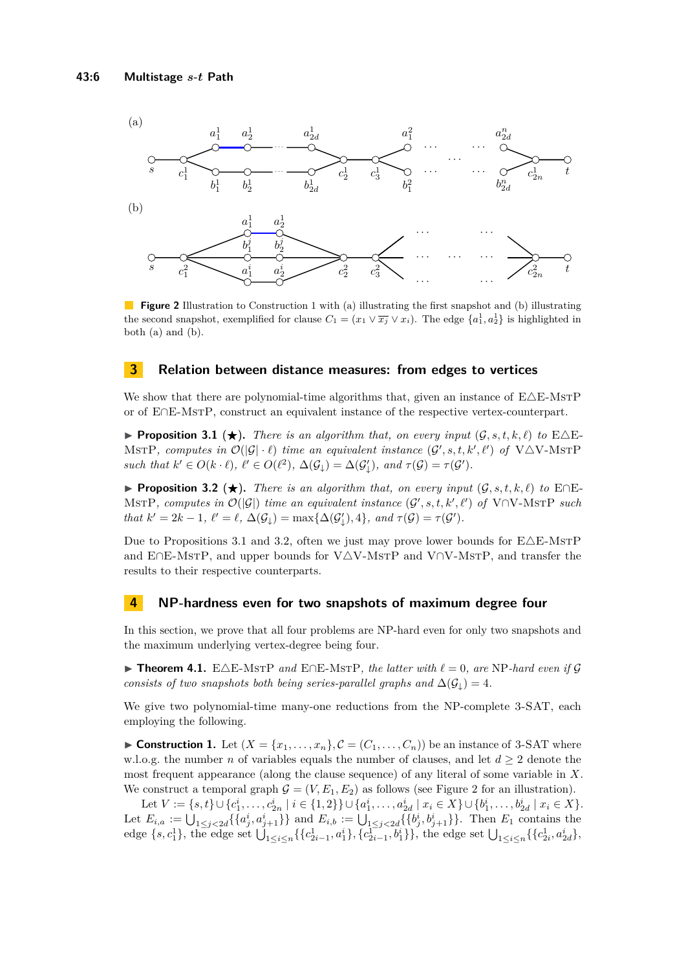<span id="page-5-4"></span>

**Figure 2** Illustration to Construction [1](#page-5-2) with (a) illustrating the first snapshot and (b) illustrating the second snapshot, exemplified for clause  $C_1 = (x_1 \vee \overline{x_j} \vee x_i)$ . The edge  $\{a_1^1, a_2^1\}$  is highlighted in both (a) and (b).

## **3 Relation between distance measures: from edges to vertices**

We show that there are polynomial-time algorithms that, given an instance of  $E\Delta E$ -MsTP or of E∩E-MstP, construct an equivalent instance of the respective vertex-counterpart.

<span id="page-5-1"></span>**Proposition 3.1 (** $\star$ **).** *There is an algorithm that, on every input*  $(G, s, t, k, \ell)$  *to*  $E \triangle E$ -MSTP, computes in  $\mathcal{O}(|\mathcal{G}| \cdot \ell)$  time an equivalent instance  $(\mathcal{G}', s, t, k', \ell')$  of  $V \triangle V$ -MSTP *such that*  $k' \in O(k \cdot \ell)$ ,  $\ell' \in O(\ell^2)$ ,  $\Delta(\mathcal{G}_\downarrow) = \Delta(\mathcal{G}'_\downarrow)$ , and  $\tau(\mathcal{G}) = \tau(\mathcal{G}')$ .

<span id="page-5-3"></span>**► Proposition 3.2 (★).** *There is an algorithm that, on every input*  $(G, s, t, k, \ell)$  *to* E∩E- $MSTP$ , *computes in*  $\mathcal{O}(|\mathcal{G}|)$  *time an equivalent instance*  $(\mathcal{G}', s, t, k', \ell')$  *of* V∩V-MSTP *such that*  $k' = 2k - 1$ ,  $\ell' = \ell$ ,  $\Delta(\mathcal{G}_\downarrow) = \max{\{\Delta(\mathcal{G}'_\downarrow), 4\}}$ , and  $\tau(\mathcal{G}) = \tau(\mathcal{G}')$ .

Due to Propositions [3.1](#page-5-1) and [3.2,](#page-5-3) often we just may prove lower bounds for  $E\triangle E\text{-MSTP}$ and E∩E-MstP, and upper bounds for V $\triangle$ V-MstP and V∩V-MstP, and transfer the results to their respective counterparts.

#### **4 NP-hardness even for two snapshots of maximum degree four**

In this section, we prove that all four problems are NP-hard even for only two snapshots and the maximum underlying vertex-degree being four.

<span id="page-5-0"></span>**► Theorem 4.1.** E $\triangle$ E-MsTP *and* E $\cap$ E-MsTP*, the latter with*  $\ell = 0$ *, are* NP-*hard even if* G *consists of two snapshots both being series-parallel graphs and*  $\Delta(\mathcal{G}_1) = 4$ *.* 

We give two polynomial-time many-one reductions from the NP-complete 3-SAT, each employing the following.

<span id="page-5-2"></span>**Construction 1.** Let  $(X = \{x_1, \ldots, x_n\}, \mathcal{C} = (C_1, \ldots, C_n))$  be an instance of 3-SAT where w.l.o.g. the number *n* of variables equals the number of clauses, and let  $d \geq 2$  denote the most frequent appearance (along the clause sequence) of any literal of some variable in *X*. We construct a temporal graph  $G = (V, E_1, E_2)$  as follows (see Figure [2](#page-5-4) for an illustration).

Let  $V := \{s, t\} \cup \{c_1^i, \ldots, c_{2n}^i \mid i \in \{1, 2\}\} \cup \{a_1^i, \ldots, a_{2d}^i \mid x_i \in X\} \cup \{b_1^i, \ldots, b_{2d}^i \mid x_i \in X\}.$ Let  $E_{i,a} := \bigcup_{1 \leq j < 2d} \{\{a_j^i, a_{j+1}^i\}\}\$ and  $E_{i,b} := \bigcup_{1 \leq j < 2d} \{\{b_j^i, b_{j+1}^i\}\}\.$  Then  $E_1$  contains the edge  $\{s, c_1^1\}$ , the edge set  $\bigcup_{1 \leq i \leq n} \{\{c_{2i-1}^1, a_1^i\}, \{c_{2i-1}^{1, i}\}\}\$ , the edge set  $\bigcup_{1 \leq i \leq n} \{\{c_{2i}^1, a_{2d}^i\}\}$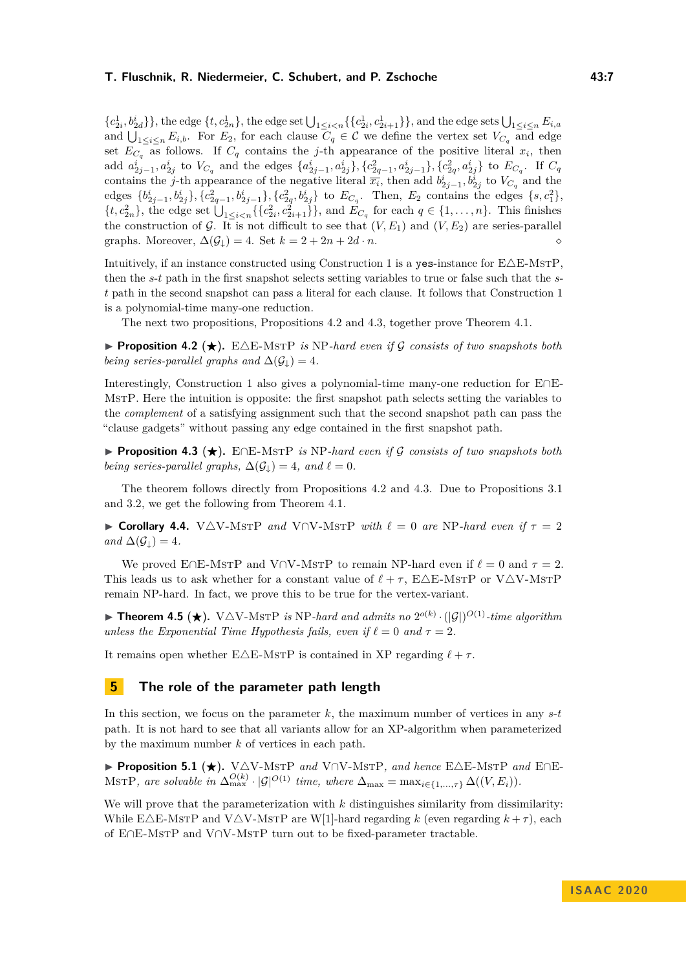${c_{2i}^1,b_{2d}^i\}$ , the edge  ${t, c_{2n}^1}$ , the edge set  $\bigcup_{1 \leq i < n} {\{c_{2i}^1, c_{2i+1}^1\}}$ , and the edge sets  $\bigcup_{1 \leq i \leq n} E_{i,a}$ and  $\bigcup_{1 \leq i \leq n} E_{i,b}$ . For  $E_2$ , for each clause  $C_q \in \mathcal{C}$  we define the vertex set  $V_{C_q}$  and edge set  $E_{C_q}$  as follows. If  $C_q$  contains the *j*-th appearance of the positive literal  $x_i$ , then add  $a_{2j-1}^i, a_{2j}^i$  to  $V_{C_q}$  and the edges  $\{a_{2j-1}^i, a_{2j}^i\}$ ,  $\{c_{2q-1}^2, a_{2j-1}^i\}$ ,  $\{c_{2q}^2, a_{2j}^i\}$  to  $E_{C_q}$ . If  $C_q$ contains the *j*-th appearance of the negative literal  $\overline{x_i}$ , then add  $b^i_{2j-1}, b^i_{2j}$  to  $V_{C_q}$  and the edges  $\{b_{2j-1}^i, b_{2j}^i\}, \{c_{2q-1}^2, b_{2j-1}^i\}, \{c_{2q}^2, b_{2j}^i\}$  to  $E_{C_q}$ . Then,  $E_2$  contains the edges  $\{s, c_1^2\}$ ,  $\{t, c_{2n}^2\}$ , the edge set  $\bigcup_{1 \leq i < n} \{\{c_{2i}^2, c_{2i+1}^2\}\}$ , and  $E_{C_q}$  for each  $q \in \{1, \ldots, n\}$ . This finishes the construction of G. It is not difficult to see that  $(V, E_1)$  and  $(V, E_2)$  are series-parallel graphs. Moreover,  $\Delta(\mathcal{G}_\downarrow) = 4$ . Set  $k = 2 + 2n + 2d \cdot n$ .

Intuitively, if an instance constructed using Construction [1](#page-5-2) is a yes-instance for  $E\Delta E$ -MsTP, then the *s*-*t* path in the first snapshot selects setting variables to true or false such that the *st* path in the second snapshot can pass a literal for each clause. It follows that Construction [1](#page-5-2) is a polynomial-time many-one reduction.

The next two propositions, Propositions [4.2](#page-5-3) and [4.3,](#page-6-2) together prove Theorem [4.1.](#page-5-0)

**Proposition 4.2** ( $\star$ ). E $\triangle$ E-MsTP *is* NP-hard even if G consists of two snapshots both *being series-parallel graphs and*  $\Delta(\mathcal{G}_1) = 4$ .

Interestingly, Construction [1](#page-5-2) also gives a polynomial-time many-one reduction for E∩E-MstP. Here the intuition is opposite: the first snapshot path selects setting the variables to the *complement* of a satisfying assignment such that the second snapshot path can pass the "clause gadgets" without passing any edge contained in the first snapshot path.

<span id="page-6-2"></span>**► Proposition 4.3 (★).** E∩E-MsTP *is* NP-hard even if G consists of two snapshots both *being series-parallel graphs,*  $\Delta(\mathcal{G}_1) = 4$ *, and*  $\ell = 0$ *.* 

The theorem follows directly from Propositions [4.2](#page-5-3) and [4.3.](#page-6-2) Due to Propositions [3.1](#page-5-1) and [3.2,](#page-5-3) we get the following from Theorem [4.1.](#page-5-0)

<span id="page-6-0"></span>**► Corollary 4.4.** V $\triangle$ V-MsTP *and* V $\cap$ V-MsTP *with*  $\ell = 0$  *are* NP-*hard even if*  $\tau = 2$ *and*  $\Delta(\mathcal{G}_\perp) = 4$ *.* 

We proved E∩E-MsTP and V∩V-MsTP to remain NP-hard even if  $\ell = 0$  and  $\tau = 2$ . This leads us to ask whether for a constant value of  $\ell + \tau$ , E $\Delta$ E-MsTP or V $\Delta$ V-MsTP remain NP-hard. In fact, we prove this to be true for the vertex-variant.

<span id="page-6-1"></span>**Fineorem 4.5 (** $\star$ **).** V $\triangle$ V-MsTP *is* NP-hard and admits no  $2^{o(k)} \cdot (|\mathcal{G}|)^{O(1)}$ -time algorithm *unless the Exponential Time Hypothesis fails, even if*  $\ell = 0$  *and*  $\tau = 2$ *.* 

It remains open whether E $\triangle$ E-MsTP is contained in XP regarding  $\ell + \tau$ .

## **5 The role of the parameter path length**

In this section, we focus on the parameter *k*, the maximum number of vertices in any *s*-*t* path. It is not hard to see that all variants allow for an XP-algorithm when parameterized by the maximum number *k* of vertices in each path.

**Proposition 5.1 (★).** V△V-MSTP *and* V∩V-MSTP, *and hence* E△E-MSTP *and* E∩E-MSTP, are solvable in  $\Delta_{\max}^{O(k)} \cdot |\mathcal{G}|^{O(1)}$  time, where  $\Delta_{\max} = \max_{i \in \{1, ..., \tau\}} \Delta((V, E_i)).$ 

We will prove that the parameterization with k distinguishes similarity from dissimilarity: While E $\triangle$ E-MsTP and V $\triangle$ V-MsTP are W[1]-hard regarding *k* (even regarding  $k + \tau$ ), each of E∩E-MstP and V∩V-MstP turn out to be fixed-parameter tractable.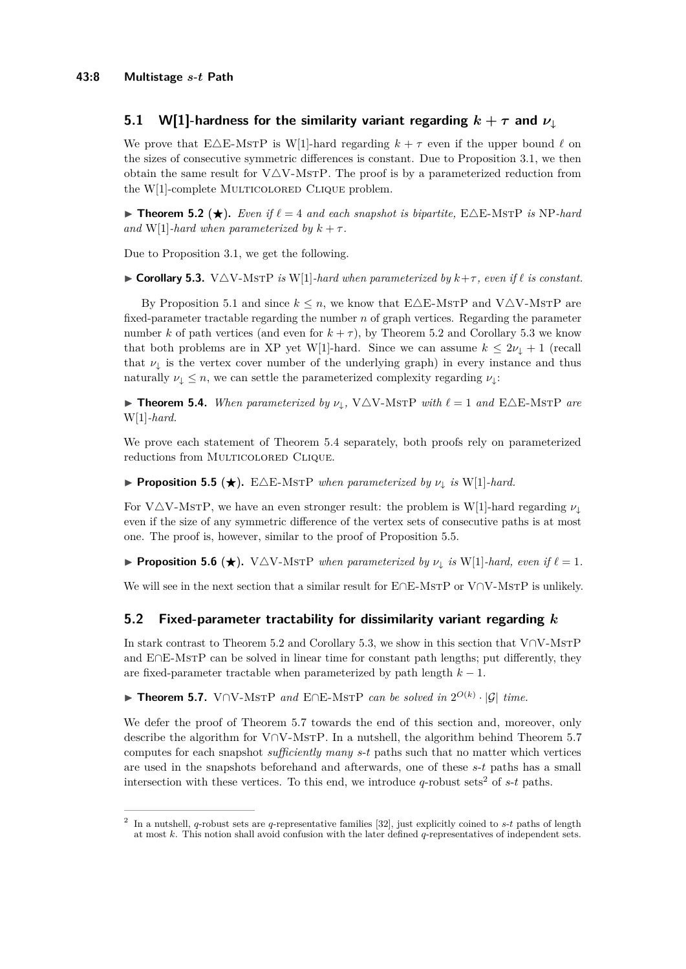# **5.1 W[1]-hardness for the similarity variant regarding**  $k + \tau$  **and**  $\nu_1$

We prove that E $\triangle$ E-MsTP is W[1]-hard regarding  $k + \tau$  even if the upper bound  $\ell$  on the sizes of consecutive symmetric differences is constant. Due to Proposition [3.1,](#page-5-1) we then obtain the same result for  $V\Delta V$ -MsTP. The proof is by a parameterized reduction from the W[1]-complete MULTICOLORED CLIQUE problem.

<span id="page-7-0"></span>**Findherem 5.2** ( $\star$ ). *Even if*  $\ell = 4$  *and each snapshot is bipartite,*  $E\triangle E\text{-MSTP}$  *is* NP-hard *and* W[1]*-hard when parameterized by*  $k + \tau$ *.* 

<span id="page-7-1"></span>Due to Proposition [3.1,](#page-5-1) we get the following.

 $\triangleright$  **Corollary 5.3.** V $\triangle$ V-MsTP *is* W[1]*-hard when parameterized by*  $k+\tau$ *, even if*  $\ell$  *is constant.* 

By Proposition [5.1](#page-5-1) and since  $k \leq n$ , we know that  $E\Delta E$ -MsTP and V $\Delta V$ -MsTP are fixed-parameter tractable regarding the number *n* of graph vertices. Regarding the parameter number *k* of path vertices (and even for  $k + \tau$ ), by Theorem [5.2](#page-7-0) and Corollary [5.3](#page-7-1) we know that both problems are in XP yet W[1]-hard. Since we can assume  $k \leq 2\nu_1 + 1$  (recall that  $\nu_{\downarrow}$  is the vertex cover number of the underlying graph) in every instance and thus naturally  $\nu_{\downarrow} \leq n$ , we can settle the parameterized complexity regarding  $\nu_{\downarrow}$ :

<span id="page-7-4"></span> $\blacktriangleright$  **Theorem 5.4.** *When parameterized by*  $\nu_{\downarrow}$ , V $\triangle V$ -MsrP *with*  $\ell = 1$  *and* E $\triangle E$ -MsrP *are* W[1]*-hard.*

We prove each statement of Theorem [5.4](#page-7-4) separately, both proofs rely on parameterized reductions from MULTICOLORED CLIQUE.

<span id="page-7-5"></span>**Proposition 5.5** ( $\star$ ). E $\triangle E$ -MsTP *when parameterized by*  $\nu_{\downarrow}$  *is* W[1]*-hard.* 

For V $\Delta$ V-MsTP, we have an even stronger result: the problem is W[1]-hard regarding  $\nu_{\perp}$ even if the size of any symmetric difference of the vertex sets of consecutive paths is at most one. The proof is, however, similar to the proof of Proposition [5.5.](#page-7-5)

<span id="page-7-3"></span>**Proposition 5.6** ( $\star$ ). V $\Delta$ V-MstP *when parameterized by*  $\nu_1$  *is* W[1]*-hard, even if*  $\ell = 1$ *.* 

We will see in the next section that a similar result for E∩E-MsrP or V∩V-MsrP is unlikely.

## **5.2 Fixed-parameter tractability for dissimilarity variant regarding** *k*

In stark contrast to Theorem [5.2](#page-7-0) and Corollary [5.3,](#page-7-1) we show in this section that V∩V-MstP and E∩E-MsTP can be solved in linear time for constant path lengths; put differently, they are fixed-parameter tractable when parameterized by path length  $k - 1$ .

<span id="page-7-2"></span>**► Theorem 5.7.** V∩V-MsTP and E∩E-MsTP can be solved in  $2^{O(k)} \cdot |\mathcal{G}|$  time.

We defer the proof of Theorem [5.7](#page-7-2) towards the end of this section and, moreover, only describe the algorithm for V∩V-MsTP. In a nutshell, the algorithm behind Theorem [5.7](#page-7-2) computes for each snapshot *sufficiently many s*-*t* paths such that no matter which vertices are used in the snapshots beforehand and afterwards, one of these *s*-*t* paths has a small intersection with these vertices. To this end, we introduce  $q$ -robust sets<sup>[2](#page-7-6)</sup> of  $s$ - $t$  paths.

<span id="page-7-6"></span><sup>2</sup> In a nutshell, *q*-robust sets are *q*-representative families [\[32\]](#page-14-8), just explicitly coined to *s*-*t* paths of length at most *k*. This notion shall avoid confusion with the later defined *q*-representatives of independent sets.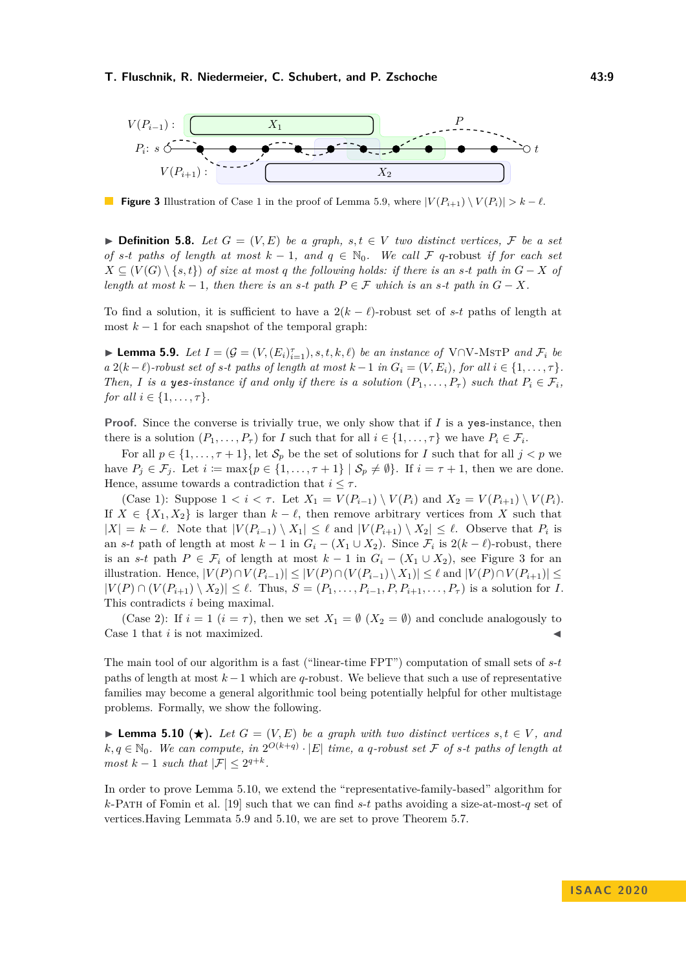<span id="page-8-1"></span>

**Figure 3** Illustration of Case 1 in the proof of Lemma [5.9,](#page-8-0) where  $|V(P_{i+1}) \setminus V(P_i)| > k - \ell$ .

▶ **Definition 5.8.** Let  $G = (V, E)$  be a graph,  $s, t \in V$  two distinct vertices,  $\mathcal{F}$  be a set *of s*<sup>*-t*</sup> *paths of length at most*  $k - 1$ *, and*  $q \in \mathbb{N}_0$ *. We call*  $\mathcal F$  *q*-robust *if for each set X* ⊆  $(V(G) \setminus \{s,t\})$  *of size at most q the following holds: if there is an <i>s*-*t path in*  $G - X$  *of length at most*  $k - 1$ *, then there is an s-t path*  $P \in \mathcal{F}$  *which is an s-t path in*  $G - X$ *.* 

To find a solution, it is sufficient to have a  $2(k - \ell)$ -robust set of *s*-*t* paths of length at most  $k-1$  for each snapshot of the temporal graph:

<span id="page-8-0"></span>► **Lemma 5.9.** *Let*  $I = (G = (V, (E_i)_{i=1}^{\tau}), s, t, k, \ell)$  *be an instance of*  $V \cap V$ -MSTP *and*  $\mathcal{F}_i$  *be*  $a \ 2(k-\ell)$ -robust set of s-t paths of length at most  $k-1$  in  $G_i = (V, E_i)$ , for all  $i \in \{1, \ldots, \tau\}$ . *Then, I* is a yes-instance if and only if there is a solution  $(P_1, \ldots, P_\tau)$  such that  $P_i \in \mathcal{F}_i$ , *for all*  $i \in \{1, ..., \tau\}$ *.* 

**Proof.** Since the converse is trivially true, we only show that if *I* is a yes-instance, then there is a solution  $(P_1, \ldots, P_\tau)$  for *I* such that for all  $i \in \{1, \ldots, \tau\}$  we have  $P_i \in \mathcal{F}_i$ .

For all  $p \in \{1, \ldots, \tau + 1\}$ , let  $S_p$  be the set of solutions for *I* such that for all  $j < p$  we have  $P_j \in \mathcal{F}_j$ . Let  $i := \max\{p \in \{1, \ldots, \tau + 1\} \mid \mathcal{S}_p \neq \emptyset\}$ . If  $i = \tau + 1$ , then we are done. Hence, assume towards a contradiction that  $i \leq \tau$ .

(Case 1): Suppose  $1 < i < \tau$ . Let  $X_1 = V(P_{i-1}) \setminus V(P_i)$  and  $X_2 = V(P_{i+1}) \setminus V(P_i)$ . If  $X \in \{X_1, X_2\}$  is larger than  $k - \ell$ , then remove arbitrary vertices from *X* such that  $|X| = k - \ell$ . Note that  $|V(P_{i-1}) \setminus X_1| \leq \ell$  and  $|V(P_{i+1}) \setminus X_2| \leq \ell$ . Observe that  $P_i$  is an *s*-*t* path of length at most  $k-1$  in  $G_i - (X_1 \cup X_2)$ . Since  $\mathcal{F}_i$  is  $2(k-\ell)$ -robust, there is an *s*-*t* path  $P \in \mathcal{F}_i$  of length at most  $k-1$  in  $G_i - (X_1 \cup X_2)$ , see Figure [3](#page-8-1) for an illustration. Hence, |*V* (*P*)∩*V* (*Pi*−1)| ≤ |*V* (*P*)∩(*V* (*Pi*−1) \*X*1)| ≤ *`* and |*V* (*P*)∩*V* (*Pi*+1)| ≤  $|V(P) \cap (V(P_{i+1}) \setminus X_2)| \leq \ell$ . Thus,  $S = (P_1, \ldots, P_{i-1}, P, P_{i+1}, \ldots, P_{\tau})$  is a solution for *I*. This contradicts *i* being maximal.

(Case 2): If  $i = 1$   $(i = \tau)$ , then we set  $X_1 = \emptyset$   $(X_2 = \emptyset)$  and conclude analogously to Case 1 that *i* is not maximized.

The main tool of our algorithm is a fast ("linear-time FPT") computation of small sets of *s*-*t* paths of length at most *k* −1 which are *q*-robust. We believe that such a use of representative families may become a general algorithmic tool being potentially helpful for other multistage problems. Formally, we show the following.

<span id="page-8-2"></span>**► Lemma 5.10** (★). Let  $G = (V, E)$  be a graph with two distinct vertices  $s, t \in V$ , and  $k, q \in \mathbb{N}_0$ . We can compute, in  $2^{O(k+q)} \cdot |E|$  time, a q-robust set F of s-t paths of length at *most*  $k-1$  *such that*  $|\mathcal{F}| \leq 2^{q+k}$ *.* 

In order to prove Lemma [5.10,](#page-8-2) we extend the "representative-family-based" algorithm for *k*-Path of Fomin et al. [\[19\]](#page-14-9) such that we can find *s*-*t* paths avoiding a size-at-most-*q* set of vertices.Having Lemmata [5.9](#page-8-0) and [5.10,](#page-8-2) we are set to prove Theorem [5.7.](#page-7-2)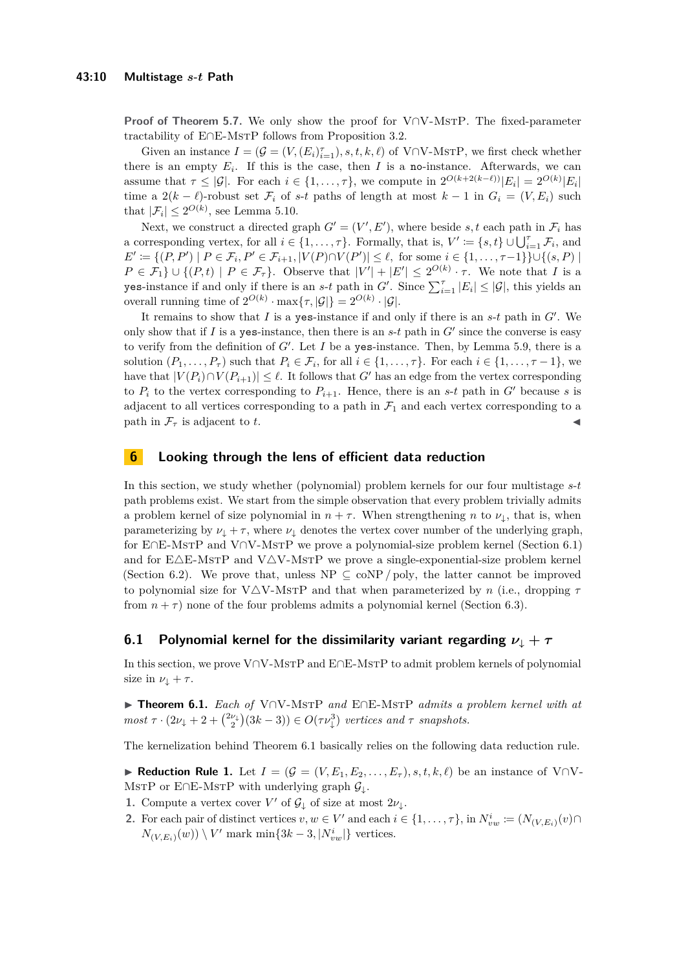**Proof of Theorem [5.7.](#page-7-2)** We only show the proof for V∩V-MsTP. The fixed-parameter tractability of E∩E-MsTP follows from Proposition [3.2.](#page-5-3)

Given an instance  $I = (\mathcal{G} = (V, (E_i)_{i=1}^{\tau}), s, t, k, \ell)$  of V∩V-MsrP, we first check whether there is an empty  $E_i$ . If this is the case, then *I* is a no-instance. Afterwards, we can assume that  $\tau \leq |\mathcal{G}|$ . For each  $i \in \{1, \ldots, \tau\}$ , we compute in  $2^{O(k+2(k-\ell))}|E_i| = 2^{O(k)}|E_i|$ time a  $2(k - \ell)$ -robust set  $\mathcal{F}_i$  of *s*-*t* paths of length at most  $k - 1$  in  $G_i = (V, E_i)$  such that  $|\mathcal{F}_i| \leq 2^{O(k)}$ , see Lemma [5.10.](#page-8-2)

Next, we construct a directed graph  $G' = (V', E')$ , where beside *s*, *t* each path in  $\mathcal{F}_i$  has a corresponding vertex, for all  $i \in \{1, \ldots, \tau\}$ . Formally, that is,  $V' \coloneqq \{s, t\} \cup \bigcup_{i=1}^{\tau} \mathcal{F}_i$ , and  $E' := \{(P, P') \mid P \in \mathcal{F}_i, P' \in \mathcal{F}_{i+1}, |V(P) \cap V(P')| \leq \ell, \text{ for some } i \in \{1, ..., \tau-1\}\} \cup \{(s, P) \mid \ell \leq \ell, \ell \leq \ell-1\}$  $P \in \mathcal{F}_1$   $\cup$   $\{(P,t) | P \in \mathcal{F}_\tau\}$ . Observe that  $|V'| + |E'| \leq 2^{O(k)} \cdot \tau$ . We note that *I* is a yes-instance if and only if there is an *s*-*t* path in *G*<sup> $\prime$ </sup>. Since  $\sum_{i=1}^{\tau} |E_i| \leq |\mathcal{G}|$ , this yields an overall running time of  $2^{O(k)} \cdot \max\{\tau, |\mathcal{G}|\} = 2^{O(k)} \cdot |\mathcal{G}|.$ 

It remains to show that  $I$  is a yes-instance if and only if there is an  $s$ - $t$  path in  $G'$ . We only show that if  $I$  is a yes-instance, then there is an  $s-t$  path in  $G'$  since the converse is easy to verify from the definition of  $G'$ . Let  $I$  be a yes-instance. Then, by Lemma [5.9,](#page-8-0) there is a solution  $(P_1, \ldots, P_\tau)$  such that  $P_i \in \mathcal{F}_i$ , for all  $i \in \{1, \ldots, \tau\}$ . For each  $i \in \{1, \ldots, \tau-1\}$ , we have that  $|V(P_i) \cap V(P_{i+1})| \leq \ell$ . It follows that *G*<sup>*i*</sup> has an edge from the vertex corresponding to  $P_i$  to the vertex corresponding to  $P_{i+1}$ . Hence, there is an *s*-*t* path in  $G'$  because *s* is adjacent to all vertices corresponding to a path in  $\mathcal{F}_1$  and each vertex corresponding to a path in  $\mathcal{F}_{\tau}$  is adjacent to *t*.

## **6 Looking through the lens of efficient data reduction**

In this section, we study whether (polynomial) problem kernels for our four multistage *s*-*t* path problems exist. We start from the simple observation that every problem trivially admits a problem kernel of size polynomial in  $n + \tau$ . When strengthening *n* to  $\nu_{\perp}$ , that is, when parameterizing by  $\nu_{\downarrow} + \tau$ , where  $\nu_{\downarrow}$  denotes the vertex cover number of the underlying graph, for E∩E-MstP and V∩V-MstP we prove a polynomial-size problem kernel (Section [6.1\)](#page-9-0) and for  $E\Delta E$ -MsTP and V $\Delta V$ -MsTP we prove a single-exponential-size problem kernel (Section [6.2\)](#page-10-1). We prove that, unless  $NP \subseteq \text{coNP}/\text{poly}$ , the latter cannot be improved to polynomial size for V $\triangle$ V-MsTP and that when parameterized by *n* (i.e., dropping  $\tau$ from  $n + \tau$ ) none of the four problems admits a polynomial kernel (Section [6.3\)](#page-11-1).

## <span id="page-9-0"></span>**6.1 Polynomial kernel for the dissimilarity variant regarding**  $\nu_{\downarrow} + \tau$

In this section, we prove V∩V-MstP and E∩E-MstP to admit problem kernels of polynomial size in  $\nu_{\perp} + \tau$ .

I **Theorem 6.1.** *Each of* V∩V-MstP *and* E∩E-MstP *admits a problem kernel with at*  $most \tau \cdot (2\nu_+ + 2 + {\nu_+ \choose 2}(3k-3)) \in O(\tau \nu_+^3)$  *vertices and*  $\tau$  *snapshots.* 

<span id="page-9-1"></span>The kernelization behind Theorem [6.1](#page-5-0) basically relies on the following data reduction rule.

**► Reduction Rule 1.** Let  $I = (\mathcal{G} = (V, E_1, E_2, \ldots, E_{\tau}), s, t, k, \ell)$  be an instance of V∩V-MSTP or E∩E-MSTP with underlying graph  $\mathcal{G}_\downarrow$ .

- **1.** Compute a vertex cover  $V'$  of  $\mathcal{G}_{\downarrow}$  of size at most  $2\nu_{\downarrow}$ .
- **2.** For each pair of distinct vertices  $v, w \in V'$  and each  $i \in \{1, \ldots, \tau\}$ , in  $N^i_{vw} := (N_{(V,E_i)}(v) \cap$  $N_{(V,E_i)}(w)$   $\setminus$  *V*' mark min{3*k* − 3*,* |*N*<sup>*i*</sup><sub>*ww*</sub>|} vertices.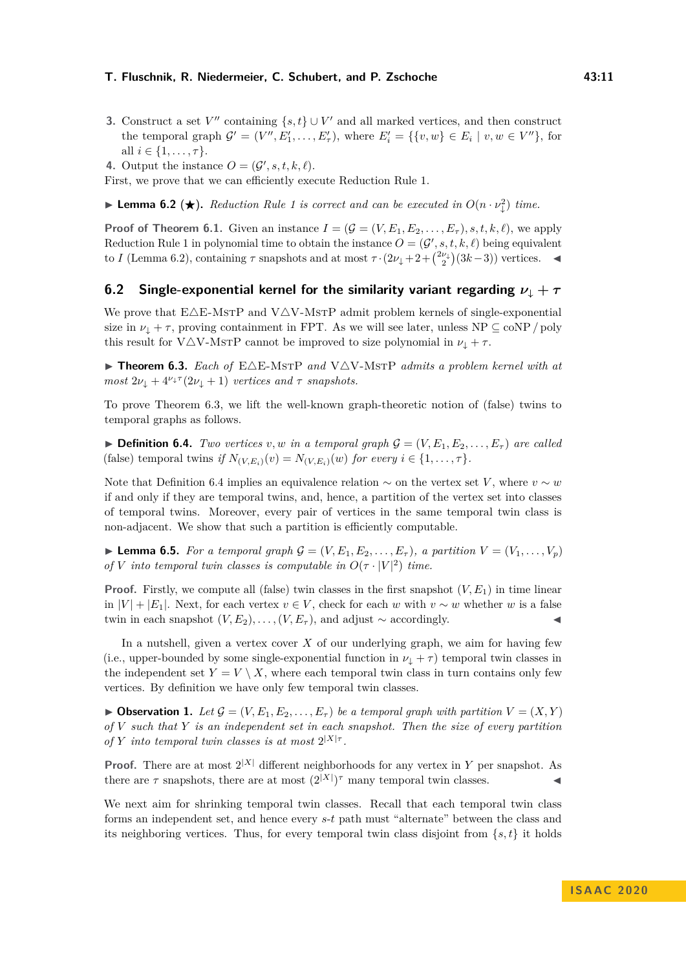- **3.** Construct a set  $V''$  containing  $\{s, t\} \cup V'$  and all marked vertices, and then construct the temporal graph  $\mathcal{G}' = (V'', E'_1, \ldots, E'_\tau)$ , where  $E'_i = \{\{v, w\} \in E_i \mid v, w \in V''\}$ , for all  $i \in \{1, ..., \tau\}.$
- **4.** Output the instance  $O = (\mathcal{G}', s, t, k, \ell)$ .

<span id="page-10-2"></span>First, we prove that we can efficiently execute Reduction Rule [1.](#page-9-1)

**Example [1](#page-9-1) Lemma 6.2** ( $\star$ ). Reduction Rule 1 is correct and can be executed in  $O(n \cdot \nu_{\downarrow}^2)$  time.

**Proof of Theorem [6.1.](#page-5-0)** Given an instance  $I = (\mathcal{G} = (V, E_1, E_2, \ldots, E_\tau), s, t, k, \ell)$ , we apply Reduction Rule [1](#page-9-1) in polynomial time to obtain the instance  $O = (\mathcal{G}', s, t, k, \ell)$  being equivalent to *I* (Lemma [6.2\)](#page-10-2), containing  $\tau$  snapshots and at most  $\tau \cdot (2\nu_+ + 2 + \binom{2\nu_+}{2}(3k-3))$  vertices.

## <span id="page-10-1"></span>**6.2** Single-exponential kernel for the similarity variant regarding  $\nu_{\downarrow} + \tau$

We prove that  $E\Delta E$ -MsTP and V $\Delta V$ -MsTP admit problem kernels of single-exponential size in  $\nu_{\downarrow} + \tau$ , proving containment in FPT. As we will see later, unless NP  $\subseteq$  coNP / poly this result for V $\triangle$ V-MsTP cannot be improved to size polynomial in  $\nu_{\downarrow} + \tau$ .

<span id="page-10-0"></span> $\triangleright$  **Theorem 6.3.** Each of  $E\Delta E$ -MsTP and V $\Delta V$ -MsTP admits a problem kernel with at *most*  $2\nu_+ + 4^{\nu_+ \tau} (2\nu_+ + 1)$  *vertices and*  $\tau$  *snapshots.* 

To prove Theorem [6.3,](#page-10-0) we lift the well-known graph-theoretic notion of (false) twins to temporal graphs as follows.

<span id="page-10-3"></span> $\triangleright$  **Definition 6.4.** *Two vertices v, w in a temporal graph*  $\mathcal{G} = (V, E_1, E_2, \dots, E_{\tau})$  *are called* (false) temporal twins *if*  $N_{(V,E_i)}(v) = N_{(V,E_i)}(w)$  *for every*  $i \in \{1,\ldots, \tau\}$ *.* 

Note that Definition [6.4](#page-10-3) implies an equivalence relation  $\sim$  on the vertex set *V*, where  $v \sim w$ if and only if they are temporal twins, and, hence, a partition of the vertex set into classes of temporal twins. Moreover, every pair of vertices in the same temporal twin class is non-adjacent. We show that such a partition is efficiently computable.

<span id="page-10-4"></span>**Lemma 6.5.** *For a temporal graph*  $G = (V, E_1, E_2, \ldots, E_{\tau})$ *, a partition*  $V = (V_1, \ldots, V_p)$ *of V into temporal twin classes is computable in*  $O(\tau \cdot |V|^2)$  *time.* 

**Proof.** Firstly, we compute all (false) twin classes in the first snapshot  $(V, E_1)$  in time linear in  $|V| + |E_1|$ . Next, for each vertex  $v \in V$ , check for each *w* with  $v \sim w$  whether *w* is a false twin in each snapshot  $(V, E_2), \ldots, (V, E_{\tau})$ , and adjust  $\sim$  accordingly.

In a nutshell, given a vertex cover *X* of our underlying graph, we aim for having few (i.e., upper-bounded by some single-exponential function in  $\nu_{\perp} + \tau$ ) temporal twin classes in the independent set  $Y = V \setminus X$ , where each temporal twin class in turn contains only few vertices. By definition we have only few temporal twin classes.

<span id="page-10-5"></span> $\triangleright$  **Observation 1.** Let  $\mathcal{G} = (V, E_1, E_2, \ldots, E_{\tau})$  be a temporal graph with partition  $V = (X, Y)$ *of V such that Y is an independent set in each snapshot. Then the size of every partition of Y into temporal twin classes is at most*  $2^{|X|\tau}$ .

**Proof.** There are at most  $2^{|X|}$  different neighborhoods for any vertex in *Y* per snapshot. As there are  $\tau$  snapshots, there are at most  $(2^{|X|})^{\tau}$  many temporal twin classes.

We next aim for shrinking temporal twin classes. Recall that each temporal twin class forms an independent set, and hence every *s*-*t* path must "alternate" between the class and its neighboring vertices. Thus, for every temporal twin class disjoint from  $\{s, t\}$  it holds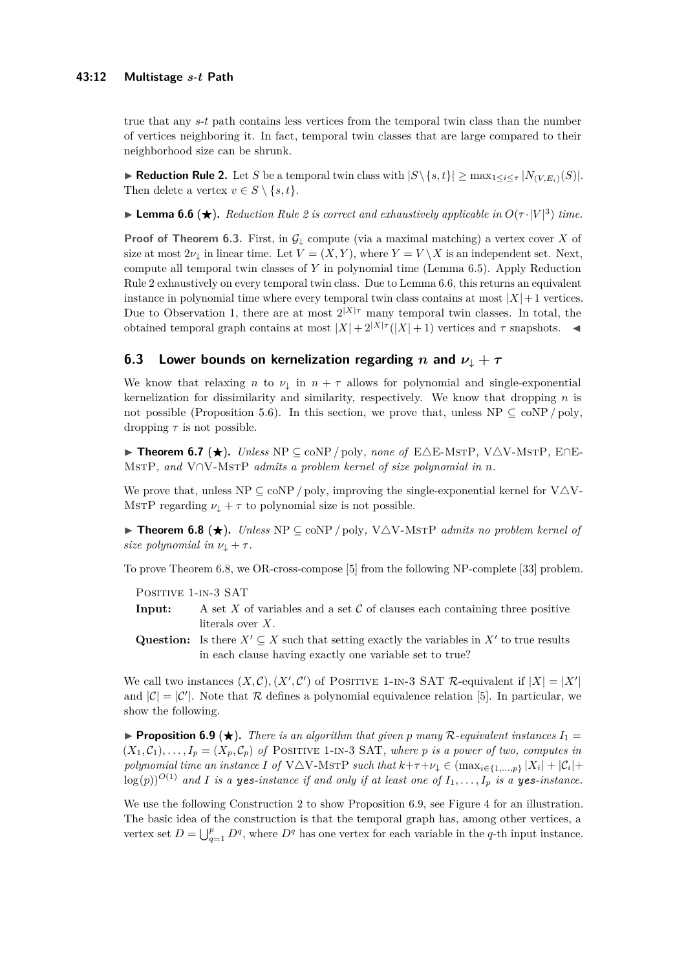true that any *s*-*t* path contains less vertices from the temporal twin class than the number of vertices neighboring it. In fact, temporal twin classes that are large compared to their neighborhood size can be shrunk.

<span id="page-11-2"></span>▶ **Reduction Rule 2.** Let *S* be a temporal twin class with  $|S \setminus \{s, t\}|$  ≥ max<sub>1≤*i*≤*τ*</sub>  $|N_{(V,E_i)}(S)|$ . Then delete a vertex  $v \in S \setminus \{s, t\}.$ 

<span id="page-11-3"></span>**Example 6.6 (** $\star$ **).** *Reduction Rule [2](#page-11-2) is correct and exhaustively applicable in*  $O(\tau \cdot |V|^3)$  *time.* 

**Proof of Theorem [6.3.](#page-10-0)** First, in  $\mathcal{G}_{\downarrow}$  compute (via a maximal matching) a vertex cover *X* of size at most  $2\nu_{\perp}$  in linear time. Let  $V = (X, Y)$ , where  $Y = V \setminus X$  is an independent set. Next, compute all temporal twin classes of *Y* in polynomial time (Lemma [6.5\)](#page-10-4). Apply Reduction Rule [2](#page-11-2) exhaustively on every temporal twin class. Due to Lemma [6.6,](#page-11-3) this returns an equivalent instance in polynomial time where every temporal twin class contains at most  $|X|+1$  vertices. Due to Observation [1,](#page-10-5) there are at most  $2^{|X|\tau}$  many temporal twin classes. In total, the obtained temporal graph contains at most  $|X| + 2^{|X|\tau}(|X| + 1)$  vertices and  $\tau$  snapshots.

# <span id="page-11-1"></span>**6.3** Lower bounds on kernelization regarding *n* and  $\nu_{\downarrow} + \tau$

We know that relaxing *n* to  $\nu_{\downarrow}$  in  $n + \tau$  allows for polynomial and single-exponential kernelization for dissimilarity and similarity, respectively. We know that dropping *n* is not possible (Proposition [5.6\)](#page-7-3). In this section, we prove that, unless  $NP \subseteq \text{coNP}/poly$ , dropping *τ* is not possible.

**► Theorem 6.7 (★).** *Unless* NP  $\subseteq$  coNP / poly*, none of* E $\triangle$ E-MsTP, V $\triangle$ V-MsTP, E∩E-MstP*, and* V∩V-MstP *admits a problem kernel of size polynomial in n.*

We prove that, unless  $NP \subseteq \text{coNP}/\text{poly}$ , improving the single-exponential kernel for  $V\Delta V$ -MstP regarding  $\nu_{\downarrow} + \tau$  to polynomial size is not possible.

<span id="page-11-0"></span>**► Theorem 6.8 (★).** *Unless*  $NP \subseteq \text{coNP}/\text{poly}$ ,  $V\triangle V$ -MstP *admits no problem kernel of size polynomial in*  $\nu_{\perp} + \tau$ .

To prove Theorem [6.8,](#page-11-0) we OR-cross-compose [\[5\]](#page-13-10) from the following NP-complete [\[33\]](#page-15-4) problem.

POSITIVE 1-IN-3 SAT

- **Input:** A set  $X$  of variables and a set  $C$  of clauses each containing three positive literals over *X*.
- Question: Is there  $X' \subseteq X$  such that setting exactly the variables in  $X'$  to true results in each clause having exactly one variable set to true?

We call two instances  $(X, \mathcal{C}), (X', \mathcal{C}')$  of POSITIVE 1-IN-3 SAT  $\mathcal{R}$ -equivalent if  $|X| = |X'|$ and  $|\mathcal{C}| = |\mathcal{C}'|$ . Note that  $\mathcal R$  defines a polynomial equivalence relation [\[5\]](#page-13-10). In particular, we show the following.

<span id="page-11-4"></span>**• Proposition 6.9** ( $\star$ ). There is an algorithm that given p many R-equivalent instances  $I_1 =$  $(X_1,\mathcal{C}_1),\ldots,I_p=(X_p,\mathcal{C}_p)$  of POSITIVE 1-IN-3 SAT, where p is a power of two, computes in *polynomial time an instance I of* V $\triangle$ V-MsTP *such that*  $k+\tau+\nu_{\downarrow} \in (\max_{i\in\{1,\dots,p\}} |X_i| + |\mathcal{C}_i| +$  $\log(p)$ <sup> $O(1)$ </sup> and *I* is a yes-instance if and only if at least one of  $I_1, \ldots, I_p$  is a yes-instance.

We use the following Construction [2](#page-12-0) to show Proposition [6.9,](#page-11-4) see Figure [4](#page-12-1) for an illustration. The basic idea of the construction is that the temporal graph has, among other vertices, a vertex set  $D = \bigcup_{q=1}^{p} D^q$ , where  $D^q$  has one vertex for each variable in the *q*-th input instance.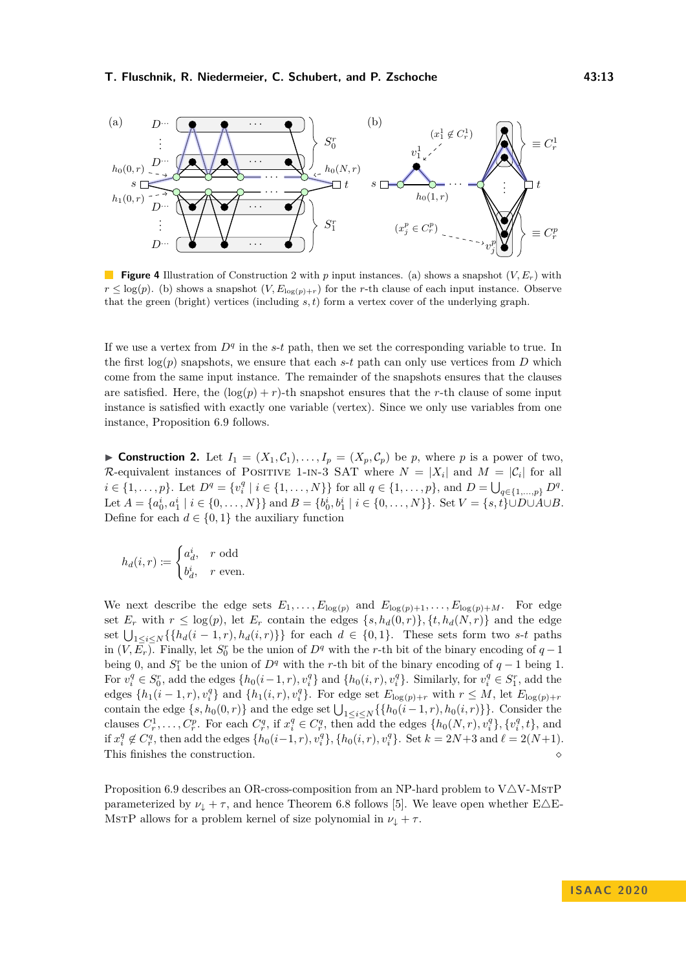<span id="page-12-1"></span>

**Figure 4** Illustration of Construction [2](#page-12-0) with *p* input instances. (a) shows a snapshot (*V, Er*) with  $r \leq \log(p)$ . (b) shows a snapshot  $(V, E_{\log(p)+r})$  for the *r*-th clause of each input instance. Observe that the green (bright) vertices (including *s, t*) form a vertex cover of the underlying graph.

If we use a vertex from  $D<sup>q</sup>$  in the *s*-*t* path, then we set the corresponding variable to true. In the first  $log(p)$  snapshots, we ensure that each *s*-*t* path can only use vertices from *D* which come from the same input instance. The remainder of the snapshots ensures that the clauses are satisfied. Here, the  $(\log(p) + r)$ -th snapshot ensures that the *r*-th clause of some input instance is satisfied with exactly one variable (vertex). Since we only use variables from one instance, Proposition [6.9](#page-11-4) follows.

<span id="page-12-0"></span>**Construction 2.** Let  $I_1 = (X_1, \mathcal{C}_1), \ldots, I_p = (X_p, \mathcal{C}_p)$  be *p*, where *p* is a power of two, R-equivalent instances of POSITIVE 1-IN-3 SAT where  $N = |X_i|$  and  $M = |\mathcal{C}_i|$  for all  $i \in \{1, \ldots, p\}$ . Let  $D^q = \{v_i^q \mid i \in \{1, \ldots, N\}\}$  for all  $q \in \{1, \ldots, p\}$ , and  $D = \bigcup_{q \in \{1, \ldots, p\}} D^q$ . Let  $A = \{a_0^i, a_1^i \mid i \in \{0, ..., N\}\}\$ and  $B = \{b_0^i, b_1^i \mid i \in \{0, ..., N\}\}\$ . Set  $V = \{s, t\} \cup D \cup A \cup B$ . Define for each  $d \in \{0, 1\}$  the auxiliary function

$$
h_d(i,r) \coloneqq \begin{cases} a_d^i, & r \text{ odd} \\ b_d^i, & r \text{ even.} \end{cases}
$$

We next describe the edge sets  $E_1, \ldots, E_{\log(p)}$  and  $E_{\log(p)+1}, \ldots, E_{\log(p)+M}$ . For edge set  $E_r$  with  $r \leq \log(p)$ , let  $E_r$  contain the edges  $\{s, h_d(0,r)\}, \{t, h_d(N,r)\}$  and the edge set  $\bigcup_{1 \leq i \leq N} \{\{h_d(i-1,r), h_d(i,r)\}\}\$  for each  $d \in \{0,1\}$ . These sets form two *s*-*t* paths in  $(V, \overline{E_r})$ . Finally, let  $S_0^r$  be the union of  $D^q$  with the *r*-th bit of the binary encoding of  $q-1$ being 0, and  $S_1^r$  be the union of  $D^q$  with the *r*-th bit of the binary encoding of  $q-1$  being 1. For  $v_i^q \in S_0^r$ , add the edges  $\{h_0(i-1,r), v_i^q\}$  and  $\{h_0(i,r), v_i^q\}$ . Similarly, for  $v_i^q \in S_1^r$ , add the edges  $\{h_1(i-1,r), v_i^q\}$  and  $\{h_1(i,r), v_i^q\}$ . For edge set  $E_{\log(p)+r}$  with  $r \leq M$ , let  $E_{\log(p)+r}$ contain the edge  $\{s, h_0(0, r)\}$  and the edge set  $\bigcup_{1 \leq i \leq N} \{\{h_0(i-1, r), h_0(i, r)\}\}\.$  Consider the clauses  $C_r^1, \ldots, C_r^p$ . For each  $C_r^q$ , if  $x_i^q \in C_r^q$ , then add the edges  $\{h_0(N, r), v_i^q\}, \{v_i^q, t\}$ , and if  $x_i^q \notin C_r^q$ , then add the edges  $\{h_0(i-1,r), v_i^q\}, \{h_0(i,r), v_i^q\}$ . Set  $k = 2N + 3$  and  $\ell = 2(N+1)$ . This finishes the construction.  $\hfill \diamond$ 

Proposition [6.9](#page-11-4) describes an OR-cross-composition from an NP-hard problem to  $V\Delta V$ -MsTP parameterized by  $\nu_{\perp} + \tau$ , and hence Theorem [6.8](#page-11-0) follows [\[5\]](#page-13-10). We leave open whether E $\triangle$ E-MsTP allows for a problem kernel of size polynomial in  $\nu_{\downarrow} + \tau$ .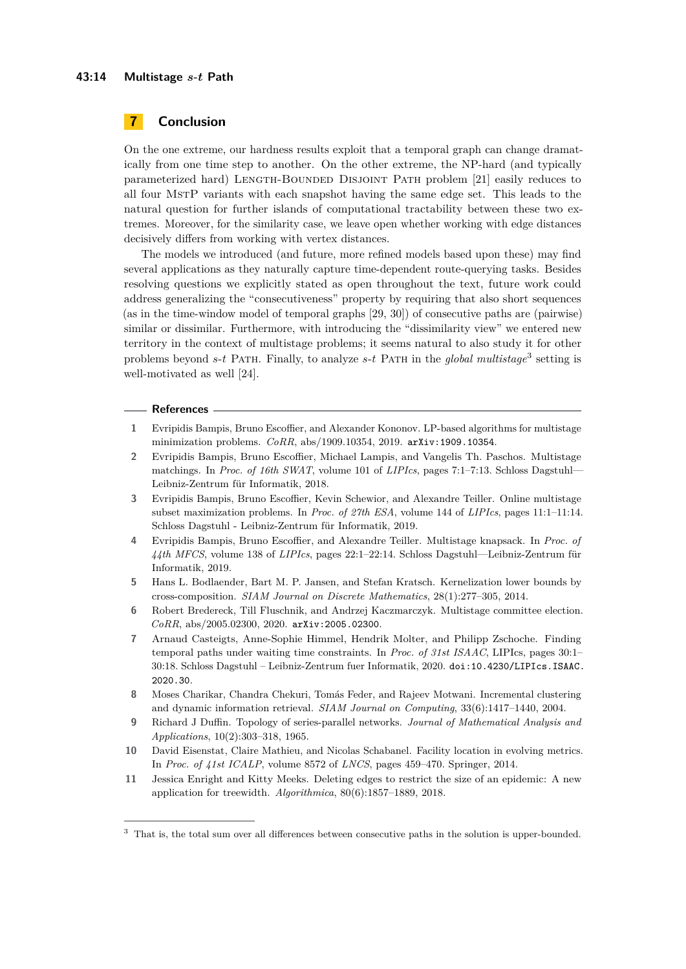#### **43:14 Multistage** *s***-***t* **Path**

## **7 Conclusion**

On the one extreme, our hardness results exploit that a temporal graph can change dramatically from one time step to another. On the other extreme, the NP-hard (and typically parameterized hard) Length-Bounded Disjoint Path problem [\[21\]](#page-14-18) easily reduces to all four MstP variants with each snapshot having the same edge set. This leads to the natural question for further islands of computational tractability between these two extremes. Moreover, for the similarity case, we leave open whether working with edge distances decisively differs from working with vertex distances.

The models we introduced (and future, more refined models based upon these) may find several applications as they naturally capture time-dependent route-querying tasks. Besides resolving questions we explicitly stated as open throughout the text, future work could address generalizing the "consecutiveness" property by requiring that also short sequences (as in the time-window model of temporal graphs [\[29,](#page-14-19) [30\]](#page-14-20)) of consecutive paths are (pairwise) similar or dissimilar. Furthermore, with introducing the "dissimilarity view" we entered new territory in the context of multistage problems; it seems natural to also study it for other problems beyond *s*-*t* Path. Finally, to analyze *s*-*t* Path in the *global multistage*[3](#page-13-11) setting is well-motivated as well [\[24\]](#page-14-11).

#### **References**

- <span id="page-13-2"></span>**1** Evripidis Bampis, Bruno Escoffier, and Alexander Kononov. LP-based algorithms for multistage minimization problems. *CoRR*, abs/1909.10354, 2019. [arXiv:1909.10354](http://arxiv.org/abs/1909.10354).
- <span id="page-13-4"></span>**2** Evripidis Bampis, Bruno Escoffier, Michael Lampis, and Vangelis Th. Paschos. Multistage matchings. In *Proc. of 16th SWAT*, volume 101 of *LIPIcs*, pages 7:1–7:13. Schloss Dagstuhl— Leibniz-Zentrum für Informatik, 2018.
- <span id="page-13-5"></span>**3** Evripidis Bampis, Bruno Escoffier, Kevin Schewior, and Alexandre Teiller. Online multistage subset maximization problems. In *Proc. of 27th ESA*, volume 144 of *LIPIcs*, pages 11:1–11:14. Schloss Dagstuhl - Leibniz-Zentrum für Informatik, 2019.
- <span id="page-13-3"></span>**4** Evripidis Bampis, Bruno Escoffier, and Alexandre Teiller. Multistage knapsack. In *Proc. of 44th MFCS*, volume 138 of *LIPIcs*, pages 22:1–22:14. Schloss Dagstuhl—Leibniz-Zentrum für Informatik, 2019.
- <span id="page-13-10"></span>**5** Hans L. Bodlaender, Bart M. P. Jansen, and Stefan Kratsch. Kernelization lower bounds by cross-composition. *SIAM Journal on Discrete Mathematics*, 28(1):277–305, 2014.
- <span id="page-13-6"></span>**6** Robert Bredereck, Till Fluschnik, and Andrzej Kaczmarczyk. Multistage committee election. *CoRR*, abs/2005.02300, 2020. [arXiv:2005.02300](http://arxiv.org/abs/2005.02300).
- <span id="page-13-7"></span>**7** Arnaud Casteigts, Anne-Sophie Himmel, Hendrik Molter, and Philipp Zschoche. Finding temporal paths under waiting time constraints. In *Proc. of 31st ISAAC*, LIPIcs, pages 30:1– 30:18. Schloss Dagstuhl – Leibniz-Zentrum fuer Informatik, 2020. [doi:10.4230/LIPIcs.ISAAC.](https://doi.org/10.4230/LIPIcs.ISAAC.2020.30) [2020.30](https://doi.org/10.4230/LIPIcs.ISAAC.2020.30).
- <span id="page-13-0"></span>**8** Moses Charikar, Chandra Chekuri, Tomás Feder, and Rajeev Motwani. Incremental clustering and dynamic information retrieval. *SIAM Journal on Computing*, 33(6):1417–1440, 2004.
- <span id="page-13-9"></span>**9** Richard J Duffin. Topology of series-parallel networks. *Journal of Mathematical Analysis and Applications*, 10(2):303–318, 1965.
- <span id="page-13-1"></span>**10** David Eisenstat, Claire Mathieu, and Nicolas Schabanel. Facility location in evolving metrics. In *Proc. of 41st ICALP*, volume 8572 of *LNCS*, pages 459–470. Springer, 2014.
- <span id="page-13-8"></span>**11** Jessica Enright and Kitty Meeks. Deleting edges to restrict the size of an epidemic: A new application for treewidth. *Algorithmica*, 80(6):1857–1889, 2018.

<span id="page-13-11"></span><sup>3</sup> That is, the total sum over all differences between consecutive paths in the solution is upper-bounded.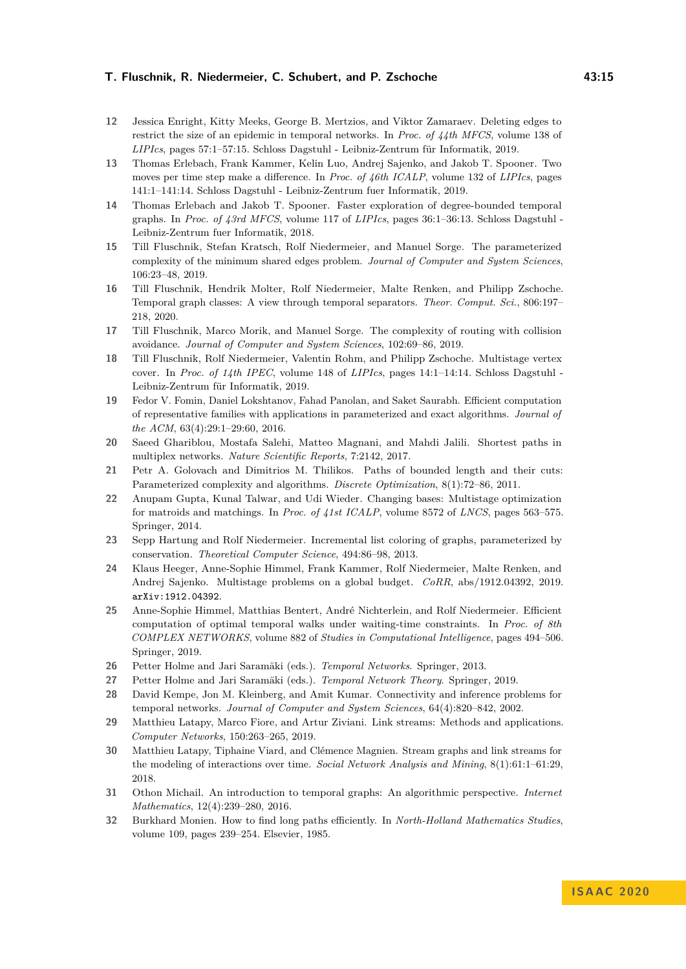- <span id="page-14-14"></span>**12** Jessica Enright, Kitty Meeks, George B. Mertzios, and Viktor Zamaraev. Deleting edges to restrict the size of an epidemic in temporal networks. In *Proc. of 44th MFCS*, volume 138 of *LIPIcs*, pages 57:1–57:15. Schloss Dagstuhl - Leibniz-Zentrum für Informatik, 2019.
- <span id="page-14-13"></span>**13** Thomas Erlebach, Frank Kammer, Kelin Luo, Andrej Sajenko, and Jakob T. Spooner. Two moves per time step make a difference. In *Proc. of 46th ICALP*, volume 132 of *LIPIcs*, pages 141:1–141:14. Schloss Dagstuhl - Leibniz-Zentrum fuer Informatik, 2019.
- <span id="page-14-12"></span>**14** Thomas Erlebach and Jakob T. Spooner. Faster exploration of degree-bounded temporal graphs. In *Proc. of 43rd MFCS*, volume 117 of *LIPIcs*, pages 36:1–36:13. Schloss Dagstuhl - Leibniz-Zentrum fuer Informatik, 2018.
- <span id="page-14-0"></span>**15** Till Fluschnik, Stefan Kratsch, Rolf Niedermeier, and Manuel Sorge. The parameterized complexity of the minimum shared edges problem. *Journal of Computer and System Sciences*, 106:23–48, 2019.
- <span id="page-14-16"></span>**16** Till Fluschnik, Hendrik Molter, Rolf Niedermeier, Malte Renken, and Philipp Zschoche. Temporal graph classes: A view through temporal separators. *Theor. Comput. Sci.*, 806:197– 218, 2020.
- <span id="page-14-1"></span>**17** Till Fluschnik, Marco Morik, and Manuel Sorge. The complexity of routing with collision avoidance. *Journal of Computer and System Sciences*, 102:69–86, 2019.
- <span id="page-14-10"></span>**18** Till Fluschnik, Rolf Niedermeier, Valentin Rohm, and Philipp Zschoche. Multistage vertex cover. In *Proc. of 14th IPEC*, volume 148 of *LIPIcs*, pages 14:1–14:14. Schloss Dagstuhl - Leibniz-Zentrum für Informatik, 2019.
- <span id="page-14-9"></span>**19** Fedor V. Fomin, Daniel Lokshtanov, Fahad Panolan, and Saket Saurabh. Efficient computation of representative families with applications in parameterized and exact algorithms. *Journal of the ACM*, 63(4):29:1–29:60, 2016.
- <span id="page-14-17"></span>**20** Saeed Ghariblou, Mostafa Salehi, Matteo Magnani, and Mahdi Jalili. Shortest paths in multiplex networks. *Nature Scientific Reports*, 7:2142, 2017.
- <span id="page-14-18"></span>**21** Petr A. Golovach and Dimitrios M. Thilikos. Paths of bounded length and their cuts: Parameterized complexity and algorithms. *Discrete Optimization*, 8(1):72–86, 2011.
- <span id="page-14-4"></span>**22** Anupam Gupta, Kunal Talwar, and Udi Wieder. Changing bases: Multistage optimization for matroids and matchings. In *Proc. of 41st ICALP*, volume 8572 of *LNCS*, pages 563–575. Springer, 2014.
- <span id="page-14-2"></span>**23** Sepp Hartung and Rolf Niedermeier. Incremental list coloring of graphs, parameterized by conservation. *Theoretical Computer Science*, 494:86–98, 2013.
- <span id="page-14-11"></span>**24** Klaus Heeger, Anne-Sophie Himmel, Frank Kammer, Rolf Niedermeier, Malte Renken, and Andrej Sajenko. Multistage problems on a global budget. *CoRR*, abs/1912.04392, 2019. [arXiv:1912.04392](http://arxiv.org/abs/1912.04392).
- <span id="page-14-3"></span>**25** Anne-Sophie Himmel, Matthias Bentert, André Nichterlein, and Rolf Niedermeier. Efficient computation of optimal temporal walks under waiting-time constraints. In *Proc. of 8th COMPLEX NETWORKS*, volume 882 of *Studies in Computational Intelligence*, pages 494–506. Springer, 2019.
- <span id="page-14-5"></span>**26** Petter Holme and Jari Saramäki (eds.). *Temporal Networks*. Springer, 2013.
- <span id="page-14-6"></span>**27** Petter Holme and Jari Saramäki (eds.). *Temporal Network Theory*. Springer, 2019.
- <span id="page-14-15"></span>**28** David Kempe, Jon M. Kleinberg, and Amit Kumar. Connectivity and inference problems for temporal networks. *Journal of Computer and System Sciences*, 64(4):820–842, 2002.
- <span id="page-14-19"></span>**29** Matthieu Latapy, Marco Fiore, and Artur Ziviani. Link streams: Methods and applications. *Computer Networks*, 150:263–265, 2019.
- <span id="page-14-20"></span>**30** Matthieu Latapy, Tiphaine Viard, and Clémence Magnien. Stream graphs and link streams for the modeling of interactions over time. *Social Network Analysis and Mining*, 8(1):61:1–61:29, 2018.
- <span id="page-14-7"></span>**31** Othon Michail. An introduction to temporal graphs: An algorithmic perspective. *Internet Mathematics*, 12(4):239–280, 2016.
- <span id="page-14-8"></span>**32** Burkhard Monien. How to find long paths efficiently. In *North-Holland Mathematics Studies*, volume 109, pages 239–254. Elsevier, 1985.